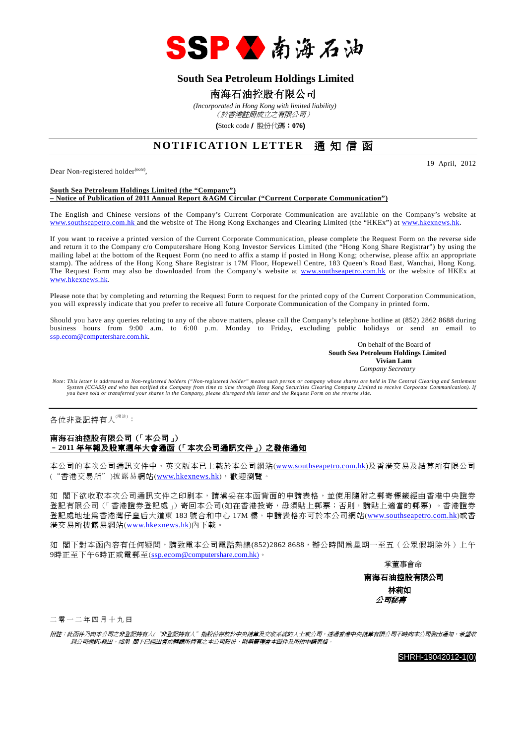

## **South Sea Petroleum Holdings Limited**

## 南海石油控股有限公司

 *(Incorporated in Hong Kong with limited liability)* (於香港註冊成立之有限公司)

(Stock code/ 股份代碼:**076**)

## **NOTIFICATION LETTER** 通知信函

Dear Non-registered holder<sup>(note)</sup>,

19 April, 2012

#### **South Sea Petroleum Holdings Limited (the "Company") – Notice of Publication of 2011 Annual Report &AGM Circular ("Current Corporate Communication")**

The English and Chinese versions of the Company's Current Corporate Communication are available on the Company's website at www.southseapetro.com.hk and the website of The Hong Kong Exchanges and Clearing Limited (the "HKEx") at www.hkexnews.hk.

If you want to receive a printed version of the Current Corporate Communication, please complete the Request Form on the reverse side and return it to the Company c/o Computershare Hong Kong Investor Services Limited (the "Hong Kong Share Registrar") by using the mailing label at the bottom of the Request Form (no need to affix a stamp if posted in Hong Kong; otherwise, please affix an appropriate stamp). The address of the Hong Kong Share Registrar is 17M Floor, Hopewell Centre, 183 Queen's Road East, Wanchai, Hong Kong. The Request Form may also be downloaded from the Company's website at www.southseapetro.com.hk or the website of HKEx at www.hkexnews.hk.

Please note that by completing and returning the Request Form to request for the printed copy of the Current Corporation Communication, you will expressly indicate that you prefer to receive all future Corporate Communication of the Company in printed form.

Should you have any queries relating to any of the above matters, please call the Company's telephone hotline at (852) 2862 8688 during business hours from 9:00 a.m. to 6:00 p.m. Monday to Friday, excluding public holidays or send an email to ssp.ecom@computershare.com.hk.

On behalf of the Board of  **South Sea Petroleum Holdings Limited Vivian Lam**  *Company Secretary* 

*Note: This letter is addressed to Non-registered holders ("Non-registered holder" means such person or company whose shares are held in The Central Clearing and Settlement System (CCASS) and who has notified the Company from time to time through Hong Kong Securities Clearing Company Limited to receive Corporate Communication). If you have sold or transferred your shares in the Company, please disregard this letter and the Request Form on the reverse side.* 

各位非登記持有人<sup>(附註)</sup>:

### 南海石油控股有限公司(「本公司」) –**2011** 年年報及股東週年大會通函(「本次公司通訊文件」)之發佈通知

本公司的本次公司通訊文件中、英文版本已上載於本公司網站(www.southseapetro.com.hk)及香港交易及結算所有限公司 ("香港交易所")披露易網站(www.hkexnews.hk),歡迎瀏覽。

如 閣下欲收取本次公司通訊文件之印刷本,請填妥在本函背面的申請表格,並使用隨附之郵寄標籤經由香港中央證券 登記有限公司(「香港證券登記處」)寄回本公司(如在香港投寄,毋須貼上郵票;否則,請貼上適當的郵票) 。香港證券 登記處地址為香港灣仔皇后大道東 183 號合和中心 17M 樓。申請表格亦可於本公司網站(www.southseapetro.com.hk)或香 港交易所披露易網站(www.hkexnews.hk)內下載。

如 閣下對本函內容有任何疑問,請致電本公司電話熱線(852)2862 8688,辦公時間為星期一至五(公眾假期除外)上午 9時正至下午6時正或電郵至(ssp.ecom@computershare.com.hk)。

承董事會命

南海石油控股有限公司 林莉如 公司秘書

二 零 一 二 年 四 月 十 九 日

附註:此函件乃向本公司之非登記持有人("非登記持有人"指股份存放於中央結算及交收系統的人士或公司,透過香港中央結算有限公司不時向本公司發出通知,希望收 到公司通訊)發出。如果 閣下已經出售或轉讓所持有之本公司股份,則無需理會本函件及所附申請表格。

SHRH-19042012-1(0)